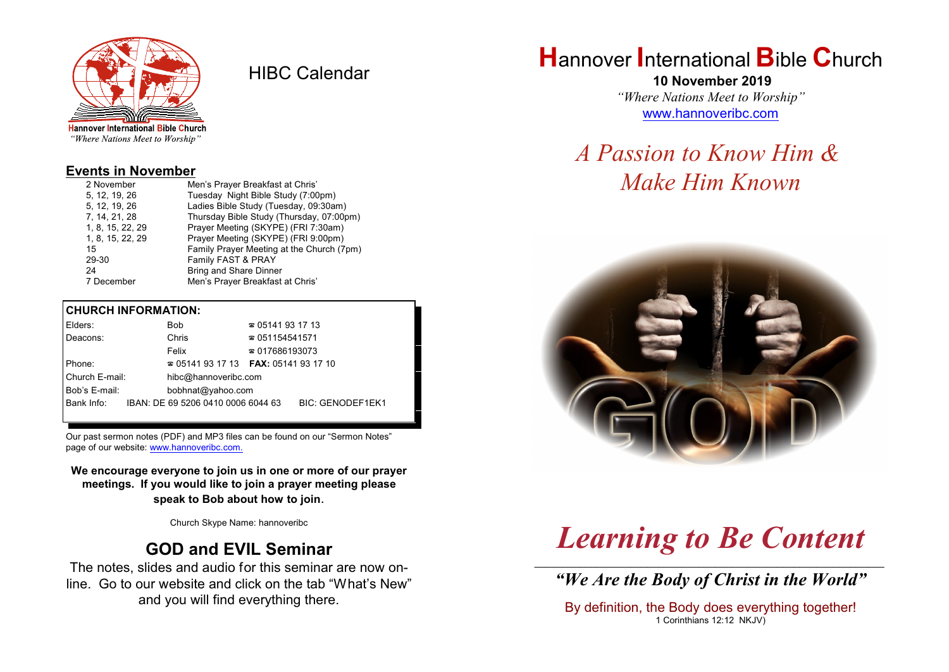

HIBC Calendar

"Where Nations Meet to Worship"

#### **Events in November**

| 2 November       | Men's Prayer Breakfast at Chris'          |  |  |
|------------------|-------------------------------------------|--|--|
| 5. 12. 19. 26    | Tuesday Night Bible Study (7:00pm)        |  |  |
| 5, 12, 19, 26    | Ladies Bible Study (Tuesday, 09:30am)     |  |  |
| 7, 14, 21, 28    | Thursday Bible Study (Thursday, 07:00pm)  |  |  |
| 1, 8, 15, 22, 29 | Prayer Meeting (SKYPE) (FRI 7:30am)       |  |  |
| 1, 8, 15, 22, 29 | Prayer Meeting (SKYPE) (FRI 9:00pm)       |  |  |
| 15               | Family Prayer Meeting at the Church (7pm) |  |  |
| 29-30            | Family FAST & PRAY                        |  |  |
| 24               | <b>Bring and Share Dinner</b>             |  |  |
| 7 December       | Men's Prayer Breakfast at Chris'          |  |  |

## **CHURCH INFORMATION:**

| Elders:        |  | <b>Bob</b>                         | $\approx 05141931713$                    |                  |
|----------------|--|------------------------------------|------------------------------------------|------------------|
| Deacons:       |  | Chris                              | $\approx 051154541571$                   |                  |
|                |  | Felix                              | $\approx 017686193073$                   |                  |
| Phone:         |  |                                    | $\approx 05141931713$ FAX: 0514193 17 10 |                  |
| Church E-mail: |  | hibc@hannoveribc.com               |                                          |                  |
| Bob's E-mail:  |  | bobhnat@yahoo.com                  |                                          |                  |
| Bank Info:     |  | IBAN: DE 69 5206 0410 0006 6044 63 |                                          | BIC: GENODEF1EK1 |
|                |  |                                    |                                          |                  |

Our past sermon notes (PDF) and MP3 files can be found on our "Sermon Notes" page of our website: [www.hannoveribc.com.](http://www.hannoveribc.com.)

**We encourage everyone to join us in one or more of our prayer meetings. If you would like to join a prayer meeting please speak to Bob about how to join**.

Church Skype Name: hannoveribc

# **GOD and EVIL Seminar**

The notes, slides and audio for this seminar are now online. Go to our website and click on the tab "What's New" and you will find everything there.

# **H**annover **I**nternational **B**ible **C**hurch

 **10 November 2019** *"Where Nations Meet to Worship"* [www.hannoveribc.com](http://www.hannoveribc.com)

# *A Passion to Know Him & Make Him Known*



# *Learning to Be Content*

\_\_\_\_\_\_\_\_\_\_\_\_\_\_\_\_\_\_\_\_\_\_\_\_\_\_\_\_\_\_\_\_\_\_\_\_\_\_\_\_\_\_\_\_\_\_\_\_\_\_\_\_\_\_\_\_\_\_\_\_\_\_ *"We Are the Body of Christ in the World"*

By definition, the Body does everything together! 1 Corinthians 12:12 NKJV)